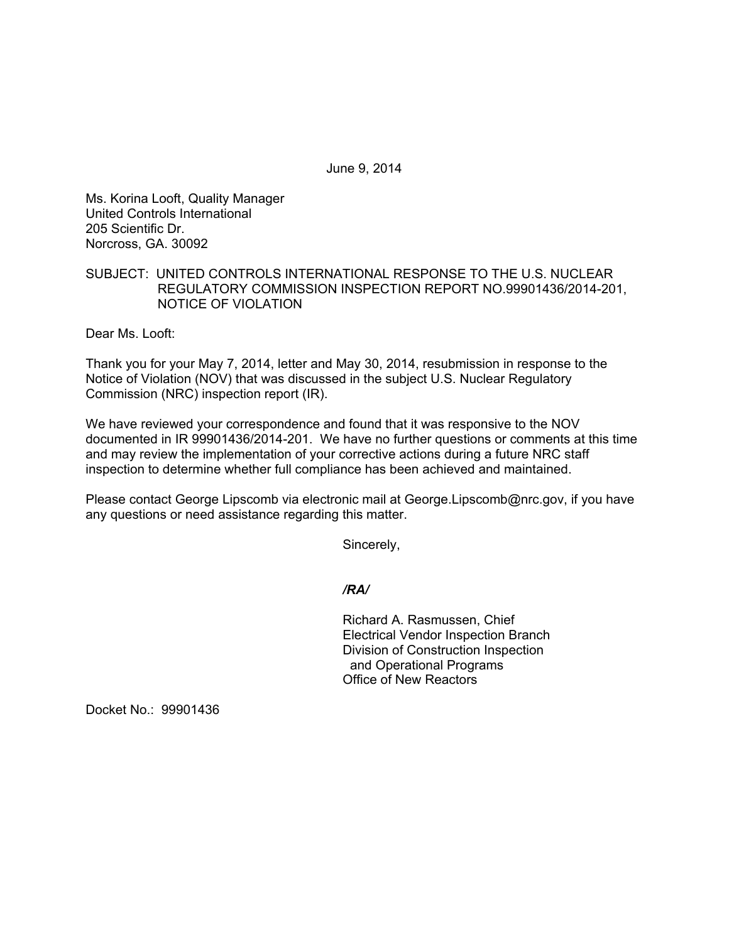June 9, 2014

Ms. Korina Looft, Quality Manager United Controls International 205 Scientific Dr. Norcross, GA. 30092

## SUBJECT: UNITED CONTROLS INTERNATIONAL RESPONSE TO THE U.S. NUCLEAR REGULATORY COMMISSION INSPECTION REPORT NO.99901436/2014-201, NOTICE OF VIOLATION

Dear Ms. Looft:

Thank you for your May 7, 2014, letter and May 30, 2014, resubmission in response to the Notice of Violation (NOV) that was discussed in the subject U.S. Nuclear Regulatory Commission (NRC) inspection report (IR).

We have reviewed your correspondence and found that it was responsive to the NOV documented in IR 99901436/2014-201. We have no further questions or comments at this time and may review the implementation of your corrective actions during a future NRC staff inspection to determine whether full compliance has been achieved and maintained.

Please contact George Lipscomb via electronic mail at George.Lipscomb@nrc.gov, if you have any questions or need assistance regarding this matter.

Sincerely,

*/RA/* 

Richard A. Rasmussen, Chief Electrical Vendor Inspection Branch Division of Construction Inspection and Operational Programs Office of New Reactors

Docket No.: 99901436